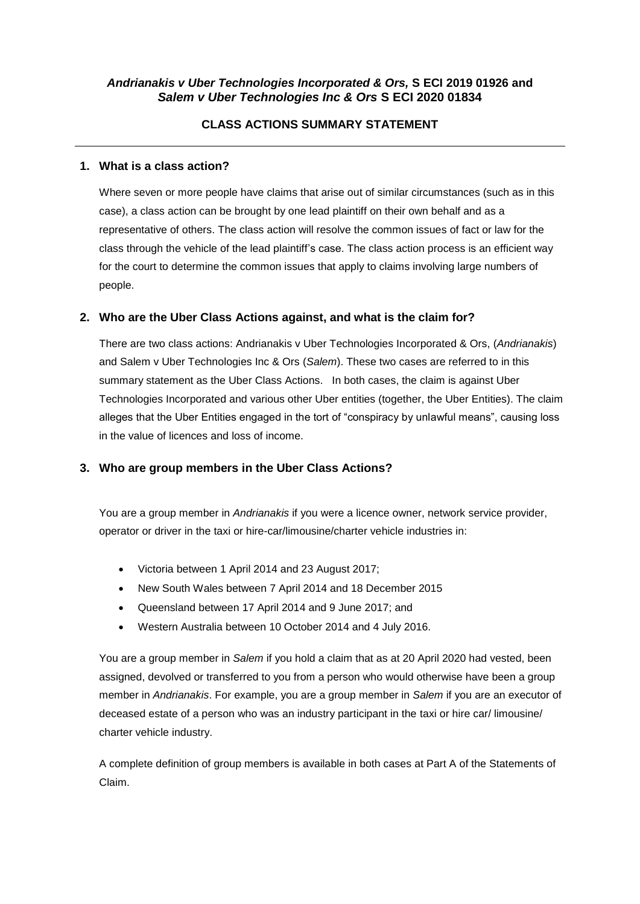# *Andrianakis v Uber Technologies Incorporated & Ors,* **S ECI 2019 01926 and** *Salem v Uber Technologies Inc & Ors* **S ECI 2020 01834**

# **CLASS ACTIONS SUMMARY STATEMENT**

### **1. What is a class action?**

Where seven or more people have claims that arise out of similar circumstances (such as in this case), a class action can be brought by one lead plaintiff on their own behalf and as a representative of others. The class action will resolve the common issues of fact or law for the class through the vehicle of the lead plaintiff's case. The class action process is an efficient way for the court to determine the common issues that apply to claims involving large numbers of people.

## **2. Who are the Uber Class Actions against, and what is the claim for?**

There are two class actions: Andrianakis v Uber Technologies Incorporated & Ors, (*Andrianakis*) and Salem v Uber Technologies Inc & Ors (*Salem*). These two cases are referred to in this summary statement as the Uber Class Actions. In both cases, the claim is against Uber Technologies Incorporated and various other Uber entities (together, the Uber Entities). The claim alleges that the Uber Entities engaged in the tort of "conspiracy by unlawful means", causing loss in the value of licences and loss of income.

## **3. Who are group members in the Uber Class Actions?**

You are a group member in *Andrianakis* if you were a licence owner, network service provider, operator or driver in the taxi or hire-car/limousine/charter vehicle industries in:

- Victoria between 1 April 2014 and 23 August 2017;
- New South Wales between 7 April 2014 and 18 December 2015
- Queensland between 17 April 2014 and 9 June 2017; and
- Western Australia between 10 October 2014 and 4 July 2016.

You are a group member in *Salem* if you hold a claim that as at 20 April 2020 had vested, been assigned, devolved or transferred to you from a person who would otherwise have been a group member in *Andrianakis*. For example, you are a group member in *Salem* if you are an executor of deceased estate of a person who was an industry participant in the taxi or hire car/ limousine/ charter vehicle industry.

A complete definition of group members is available in both cases at Part A of the Statements of Claim.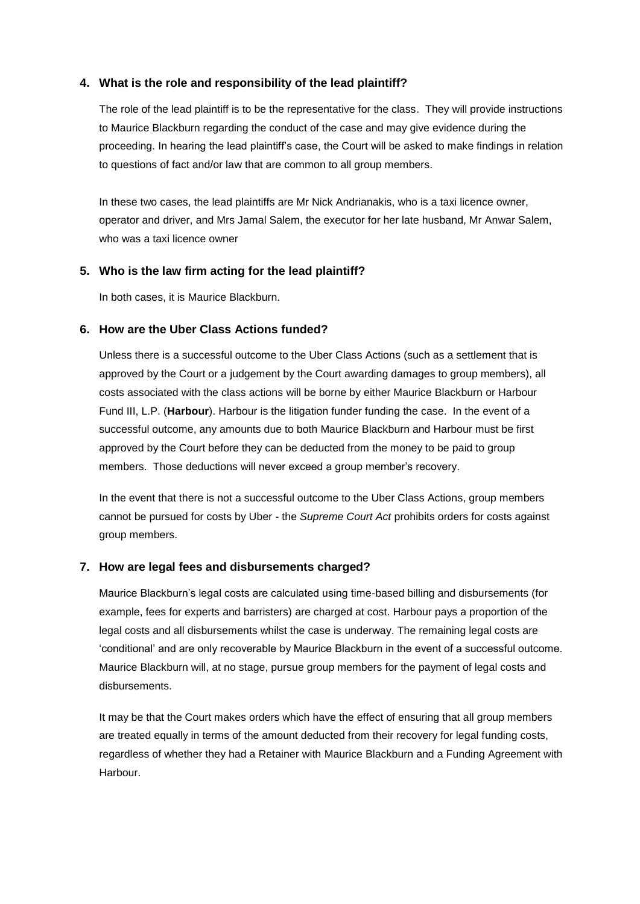### **4. What is the role and responsibility of the lead plaintiff?**

The role of the lead plaintiff is to be the representative for the class. They will provide instructions to Maurice Blackburn regarding the conduct of the case and may give evidence during the proceeding. In hearing the lead plaintiff's case, the Court will be asked to make findings in relation to questions of fact and/or law that are common to all group members.

In these two cases, the lead plaintiffs are Mr Nick Andrianakis, who is a taxi licence owner, operator and driver, and Mrs Jamal Salem, the executor for her late husband, Mr Anwar Salem, who was a taxi licence owner

### **5. Who is the law firm acting for the lead plaintiff?**

In both cases, it is Maurice Blackburn.

### **6. How are the Uber Class Actions funded?**

Unless there is a successful outcome to the Uber Class Actions (such as a settlement that is approved by the Court or a judgement by the Court awarding damages to group members), all costs associated with the class actions will be borne by either Maurice Blackburn or Harbour Fund III, L.P. (**Harbour**). Harbour is the litigation funder funding the case. In the event of a successful outcome, any amounts due to both Maurice Blackburn and Harbour must be first approved by the Court before they can be deducted from the money to be paid to group members. Those deductions will never exceed a group member's recovery.

In the event that there is not a successful outcome to the Uber Class Actions, group members cannot be pursued for costs by Uber - the *Supreme Court Act* prohibits orders for costs against group members.

#### **7. How are legal fees and disbursements charged?**

Maurice Blackburn's legal costs are calculated using time-based billing and disbursements (for example, fees for experts and barristers) are charged at cost. Harbour pays a proportion of the legal costs and all disbursements whilst the case is underway. The remaining legal costs are 'conditional' and are only recoverable by Maurice Blackburn in the event of a successful outcome. Maurice Blackburn will, at no stage, pursue group members for the payment of legal costs and disbursements.

It may be that the Court makes orders which have the effect of ensuring that all group members are treated equally in terms of the amount deducted from their recovery for legal funding costs, regardless of whether they had a Retainer with Maurice Blackburn and a Funding Agreement with Harbour.